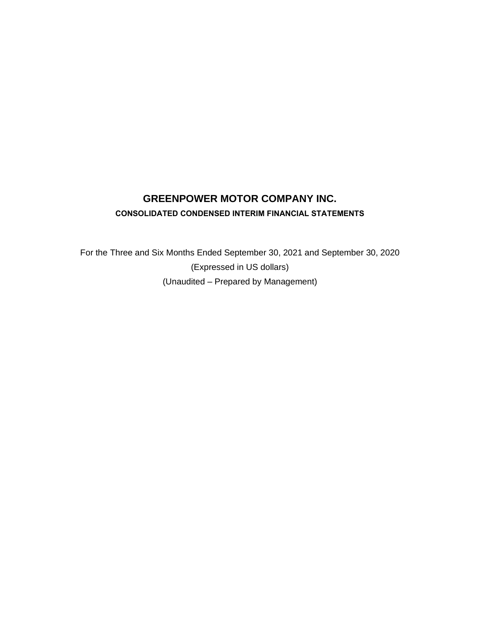# **GREENPOWER MOTOR COMPANY INC. CONSOLIDATED CONDENSED INTERIM FINANCIAL STATEMENTS**

For the Three and Six Months Ended September 30, 2021 and September 30, 2020 (Expressed in US dollars) (Unaudited – Prepared by Management)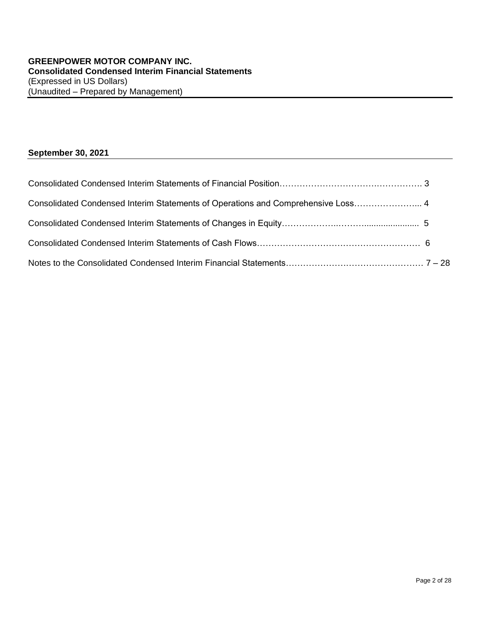# **September 30, 2021**

| Consolidated Condensed Interim Statements of Operations and Comprehensive Loss 4 |  |
|----------------------------------------------------------------------------------|--|
|                                                                                  |  |
|                                                                                  |  |
|                                                                                  |  |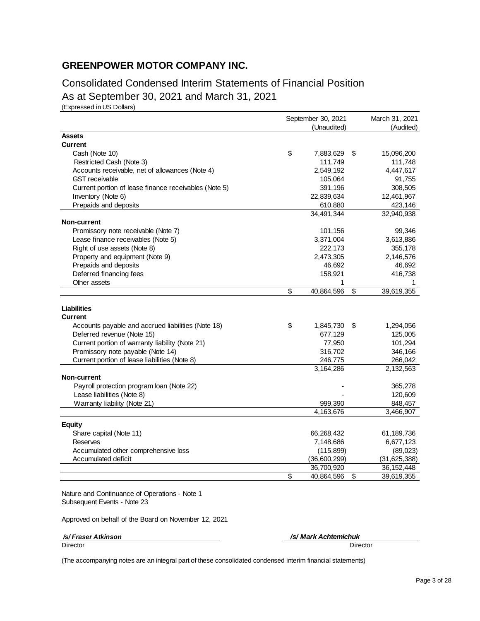Consolidated Condensed Interim Statements of Financial Position As at September 30, 2021 and March 31, 2021

(Expressed in US Dollars)

|                                                       | September 30, 2021 |              |    | March 31, 2021 |
|-------------------------------------------------------|--------------------|--------------|----|----------------|
|                                                       | (Unaudited)        |              |    | (Audited)      |
| <b>Assets</b>                                         |                    |              |    |                |
| <b>Current</b>                                        |                    |              |    |                |
| Cash (Note 10)                                        | \$                 | 7,883,629    | \$ | 15,096,200     |
| Restricted Cash (Note 3)                              |                    | 111,749      |    | 111,748        |
| Accounts receivable, net of allowances (Note 4)       |                    | 2,549,192    |    | 4,447,617      |
| <b>GST</b> receivable                                 |                    | 105,064      |    | 91,755         |
| Current portion of lease finance receivables (Note 5) |                    | 391,196      |    | 308,505        |
| Inventory (Note 6)                                    |                    | 22,839,634   |    | 12,461,967     |
| Prepaids and deposits                                 |                    | 610,880      |    | 423,146        |
|                                                       |                    | 34,491,344   |    | 32,940,938     |
| Non-current                                           |                    |              |    |                |
| Promissory note receivable (Note 7)                   |                    | 101,156      |    | 99,346         |
| Lease finance receivables (Note 5)                    |                    | 3,371,004    |    | 3,613,886      |
| Right of use assets (Note 8)                          |                    | 222,173      |    | 355,178        |
| Property and equipment (Note 9)                       |                    | 2,473,305    |    | 2,146,576      |
| Prepaids and deposits                                 |                    | 46,692       |    | 46,692         |
| Deferred financing fees                               |                    | 158,921      |    | 416,738        |
| Other assets                                          |                    | 1            |    | 1              |
|                                                       | \$                 | 40,864,596   | \$ | 39,619,355     |
|                                                       |                    |              |    |                |
| Liabilities                                           |                    |              |    |                |
| Current                                               |                    |              |    |                |
| Accounts payable and accrued liabilities (Note 18)    | \$                 | 1,845,730    | \$ | 1,294,056      |
| Deferred revenue (Note 15)                            |                    | 677,129      |    | 125,005        |
| Current portion of warranty liability (Note 21)       |                    | 77,950       |    | 101,294        |
| Promissory note payable (Note 14)                     |                    | 316,702      |    | 346,166        |
| Current portion of lease liabilities (Note 8)         |                    | 246,775      |    | 266,042        |
|                                                       |                    | 3,164,286    |    | 2,132,563      |
| Non-current                                           |                    |              |    |                |
| Payroll protection program loan (Note 22)             |                    |              |    | 365,278        |
| Lease liabilities (Note 8)                            |                    |              |    | 120,609        |
| Warranty liability (Note 21)                          |                    | 999,390      |    | 848,457        |
|                                                       |                    | 4,163,676    |    | 3,466,907      |
| <b>Equity</b>                                         |                    |              |    |                |
| Share capital (Note 11)                               |                    | 66,268,432   |    | 61,189,736     |
| Reserves                                              |                    | 7,148,686    |    | 6,677,123      |
| Accumulated other comprehensive loss                  |                    | (115, 899)   |    | (89, 023)      |
| Accumulated deficit                                   |                    | (36,600,299) |    | (31, 625, 388) |
|                                                       |                    | 36,700,920   |    | 36, 152, 448   |
|                                                       | \$                 | 40,864,596   | \$ | 39,619,355     |

Nature and Continuance of Operations - Note 1 Subsequent Events - Note 23

Approved on behalf of the Board on November 12, 2021

**Director** Director **Director** Director

 */s/ Fraser Atkinson /s/ Mark Achtemichuk*

(The accompanying notes are an integral part of these consolidated condensed interim financial statements)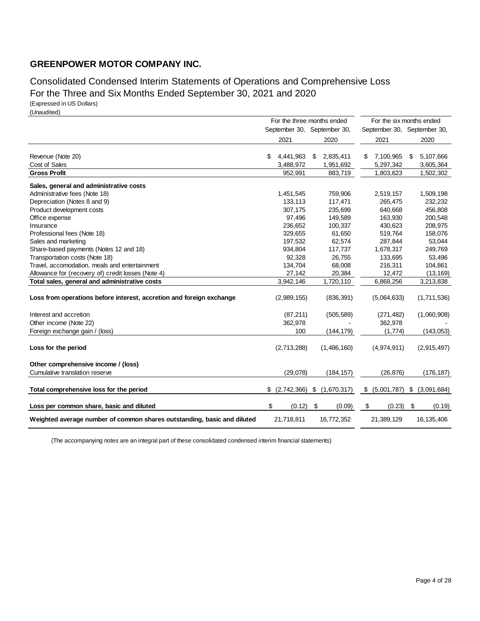## Consolidated Condensed Interim Statements of Operations and Comprehensive Loss For the Three and Six Months Ended September 30, 2021 and 2020 (Expressed in US Dollars)

(Unaudited)

|                                                                         | For the three months ended |             |                             |                                 | For the six months ended    |             |    |              |
|-------------------------------------------------------------------------|----------------------------|-------------|-----------------------------|---------------------------------|-----------------------------|-------------|----|--------------|
|                                                                         |                            |             | September 30, September 30, |                                 | September 30, September 30, |             |    |              |
|                                                                         |                            | 2021        |                             | 2020                            |                             | 2021        |    | 2020         |
|                                                                         |                            |             |                             |                                 |                             |             |    |              |
| Revenue (Note 20)                                                       | \$                         | 4,441,963   | \$                          | 2,835,411                       | \$                          | 7,100,965   | \$ | 5,107,666    |
| Cost of Sales                                                           |                            | 3,488,972   |                             | 1,951,692                       |                             | 5,297,342   |    | 3,605,364    |
| <b>Gross Profit</b>                                                     |                            | 952,991     |                             | 883,719                         |                             | 1,803,623   |    | 1,502,302    |
| Sales, general and administrative costs                                 |                            |             |                             |                                 |                             |             |    |              |
| Administrative fees (Note 18)                                           |                            | 1,451,545   |                             | 759,906                         |                             | 2,519,157   |    | 1,509,198    |
| Depreciation (Notes 8 and 9)                                            |                            | 133,113     |                             | 117,471                         |                             | 265,475     |    | 232,232      |
| Product development costs                                               |                            | 307,175     |                             | 235,699                         |                             | 640,668     |    | 456,808      |
| Office expense                                                          |                            | 97,496      |                             | 149,589                         |                             | 163,930     |    | 200,548      |
| Insurance                                                               |                            | 236,652     |                             | 100,337                         |                             | 430,623     |    | 208,975      |
| Professional fees (Note 18)                                             |                            | 329,655     |                             | 61,650                          |                             | 519,764     |    | 158,076      |
| Sales and marketing                                                     |                            | 197,532     |                             | 62,574                          |                             | 287.844     |    | 53,044       |
| Share-based payments (Notes 12 and 18)                                  |                            | 934,804     |                             | 117,737                         |                             | 1,678,317   |    | 249,769      |
| Transportation costs (Note 18)                                          |                            | 92,328      |                             | 26,755                          |                             | 133,695     |    | 53,496       |
| Travel, accomodation, meals and entertainment                           |                            | 134,704     |                             | 68,008                          |                             | 216,311     |    | 104,861      |
| Allowance for (recovery of) credit losses (Note 4)                      |                            | 27,142      |                             | 20,384                          |                             | 12,472      |    | (13, 169)    |
| Total sales, general and administrative costs                           |                            | 3,942,146   |                             | 1,720,110                       |                             | 6,868,256   |    | 3,213,838    |
| Loss from operations before interest, accretion and foreign exchange    |                            | (2,989,155) |                             | (836, 391)                      |                             | (5,064,633) |    | (1,711,536)  |
| Interest and accretion                                                  |                            | (87, 211)   |                             | (505, 589)                      |                             | (271, 482)  |    | (1,060,908)  |
| Other income (Note 22)                                                  |                            | 362,978     |                             |                                 |                             | 362,978     |    |              |
| Foreign exchange gain / (loss)                                          |                            | 100         |                             | (144, 179)                      |                             | (1,774)     |    | (143, 053)   |
| Loss for the period                                                     |                            | (2,713,288) |                             | (1,486,160)                     |                             | (4,974,911) |    | (2,915,497)  |
| Other comprehensive income / (loss)                                     |                            |             |                             |                                 |                             |             |    |              |
| Cumulative translation reserve                                          |                            | (29,078)    |                             | (184, 157)                      |                             | (26, 876)   |    | (176, 187)   |
| Total comprehensive loss for the period                                 |                            |             |                             | $$$ (2,742,366) $$$ (1,670,317) | \$                          | (5,001,787) | \$ | (3,091,684)  |
|                                                                         |                            |             |                             |                                 |                             |             |    |              |
| Loss per common share, basic and diluted                                | \$                         | (0.12)      | \$                          | (0.09)                          | $\,$                        | (0.23)      | \$ | (0.19)       |
| Weighted average number of common shares outstanding, basic and diluted |                            | 21,718,811  |                             | 16,772,352                      |                             | 21,389,129  |    | 16, 135, 406 |

(The accompanying notes are an integral part of these consolidated condensed interim financial statements)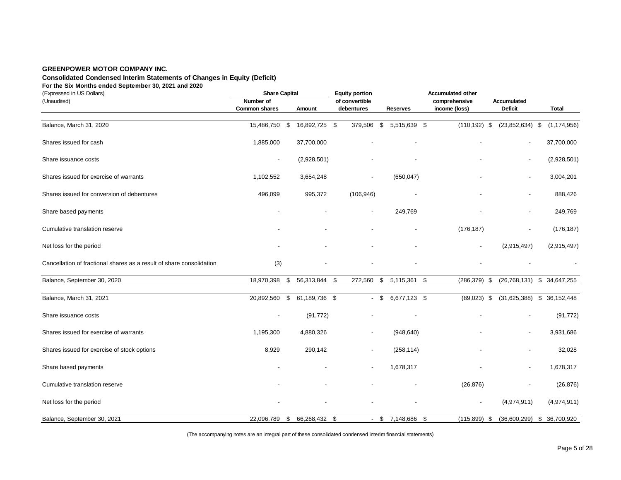### **Consolidated Condensed Interim Statements of Changes in Equity (Deficit)**

**For the Six Months ended September 30, 2021 and 2020**

| (Expressed in US Dollars)                                            | <b>Share Capital</b>     |    |               |     | <b>Equity portion</b> |        |                     | <b>Accumulated other</b> |    |                          |                              |
|----------------------------------------------------------------------|--------------------------|----|---------------|-----|-----------------------|--------|---------------------|--------------------------|----|--------------------------|------------------------------|
| (Unaudited)                                                          | Number of                |    |               |     | of convertible        |        |                     | comprehensive            |    | Accumulated              |                              |
|                                                                      | <b>Common shares</b>     |    | Amount        |     | debentures            |        | <b>Reserves</b>     | income (loss)            |    | <b>Deficit</b>           | <b>Total</b>                 |
| Balance, March 31, 2020                                              | 15,486,750 \$            |    | 16,892,725 \$ |     | 379,506               | \$     | 5,515,639 \$        | $(110, 192)$ \$          |    | $(23,852,634)$ \$        | (1, 174, 956)                |
| Shares issued for cash                                               | 1,885,000                |    | 37,700,000    |     |                       |        |                     |                          |    |                          | 37,700,000                   |
| Share issuance costs                                                 | $\overline{\phantom{a}}$ |    | (2,928,501)   |     |                       |        |                     |                          |    | $\overline{\phantom{a}}$ | (2,928,501)                  |
| Shares issued for exercise of warrants                               | 1,102,552                |    | 3,654,248     |     |                       |        | (650, 047)          |                          |    | ÷,                       | 3,004,201                    |
| Shares issued for conversion of debentures                           | 496,099                  |    | 995,372       |     | (106, 946)            |        |                     |                          |    |                          | 888,426                      |
| Share based payments                                                 |                          |    |               |     | $\blacksquare$        |        | 249,769             |                          |    |                          | 249,769                      |
| Cumulative translation reserve                                       |                          |    |               |     |                       |        |                     | (176, 187)               |    | ٠                        | (176, 187)                   |
| Net loss for the period                                              |                          |    |               |     |                       |        |                     | $\blacksquare$           |    | (2,915,497)              | (2,915,497)                  |
| Cancellation of fractional shares as a result of share consolidation | (3)                      |    |               |     |                       |        |                     |                          |    |                          |                              |
| Balance, September 30, 2020                                          | 18,970,398               | \$ | 56,313,844    | -\$ | 272,560               |        | \$5,115,361         | \$<br>(286, 379)         | \$ | (26, 768, 131)           | \$ 34,647,255                |
| Balance, March 31, 2021                                              | 20,892,560 \$            |    | 61,189,736 \$ |     |                       | $-$ \$ | 6,677,123 \$        | $(89,023)$ \$            |    |                          | $(31,625,388)$ \$ 36,152,448 |
| Share issuance costs                                                 |                          |    | (91, 772)     |     |                       |        |                     |                          |    |                          | (91, 772)                    |
| Shares issued for exercise of warrants                               | 1,195,300                |    | 4,880,326     |     |                       |        | (948, 640)          |                          |    | ÷,                       | 3,931,686                    |
| Shares issued for exercise of stock options                          | 8,929                    |    | 290,142       |     | $\blacksquare$        |        | (258, 114)          |                          |    | $\overline{\phantom{a}}$ | 32,028                       |
| Share based payments                                                 |                          |    |               |     |                       |        | 1,678,317           |                          |    | $\overline{\phantom{a}}$ | 1,678,317                    |
| Cumulative translation reserve                                       |                          |    |               |     |                       |        |                     | (26, 876)                |    | $\overline{a}$           | (26, 876)                    |
| Net loss for the period                                              |                          |    |               |     |                       |        |                     | $\overline{\phantom{a}}$ |    | (4,974,911)              | (4,974,911)                  |
| Balance, September 30, 2021                                          | 22,096,789 \$            |    | 66,268,432 \$ |     |                       |        | $-$ \$ 7,148,686 \$ | $(115,899)$ \$           |    |                          | $(36,600,299)$ \$ 36,700,920 |

(The accompanying notes are an integral part of these consolidated condensed interim financial statements)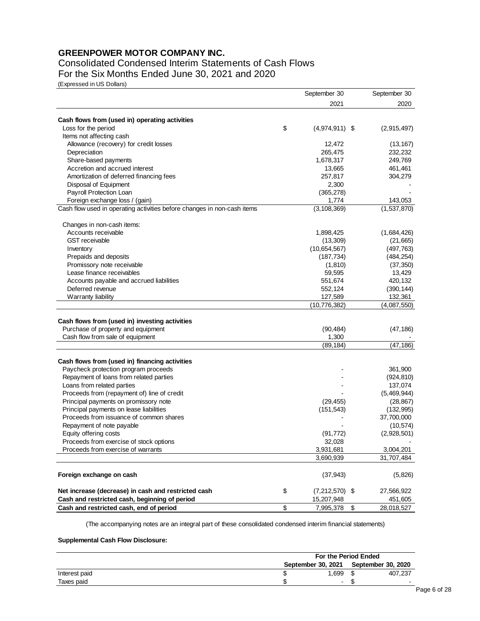# Consolidated Condensed Interim Statements of Cash Flows

For the Six Months Ended June 30, 2021 and 2020

(Expressed in US Dollars)

|                                                                         | September 30           | September 30 |
|-------------------------------------------------------------------------|------------------------|--------------|
|                                                                         | 2021                   | 2020         |
|                                                                         |                        |              |
| Cash flows from (used in) operating activities                          |                        |              |
| Loss for the period                                                     | \$<br>$(4,974,911)$ \$ | (2,915,497)  |
| Items not affecting cash                                                |                        |              |
| Allowance (recovery) for credit losses                                  | 12,472                 | (13, 167)    |
| Depreciation                                                            | 265,475                | 232,232      |
| Share-based payments                                                    | 1,678,317              | 249,769      |
| Accretion and accrued interest                                          | 13,665                 | 461,461      |
| Amortization of deferred financing fees                                 | 257,817                | 304,279      |
| Disposal of Equipment                                                   | 2,300                  |              |
| Payroll Protection Loan                                                 | (365, 278)             |              |
| Foreign exchange loss / (gain)                                          | 1,774                  | 143,053      |
| Cash flow used in operating activities before changes in non-cash items | (3, 108, 369)          | (1,537,870)  |
| Changes in non-cash items:                                              |                        |              |
| Accounts receivable                                                     | 1,898,425              | (1,684,426)  |
| <b>GST</b> receivable                                                   | (13,309)               | (21, 665)    |
| Inventory                                                               | (10,654,567)           | (497, 763)   |
| Prepaids and deposits                                                   | (187, 734)             | (484, 254)   |
| Promissory note receivable                                              | (1, 810)               | (37, 350)    |
| Lease finance receivables                                               | 59,595                 | 13,429       |
| Accounts payable and accrued liabilities                                | 551,674                | 420,132      |
| Deferred revenue                                                        | 552,124                | (390, 144)   |
| Warranty liability                                                      | 127,589                | 132,361      |
|                                                                         | (10, 776, 382)         | (4,087,550)  |
|                                                                         |                        |              |
| Cash flows from (used in) investing activities                          |                        |              |
| Purchase of property and equipment                                      | (90, 484)              | (47, 186)    |
| Cash flow from sale of equipment                                        | 1,300                  |              |
|                                                                         | (89, 184)              | (47, 186)    |
| Cash flows from (used in) financing activities                          |                        |              |
| Paycheck protection program proceeds                                    |                        | 361,900      |
| Repayment of loans from related parties                                 |                        | (924, 810)   |
| Loans from related parties                                              |                        | 137,074      |
| Proceeds from (repayment of) line of credit                             |                        | (5,469,944)  |
| Principal payments on promissory note                                   | (29, 455)              | (28, 867)    |
| Principal payments on lease liabilities                                 | (151, 543)             | (132, 995)   |
| Proceeds from issuance of common shares                                 |                        | 37,700,000   |
| Repayment of note payable                                               |                        | (10, 574)    |
| Equity offering costs                                                   | (91, 772)              | (2,928,501)  |
| Proceeds from exercise of stock options                                 | 32,028                 |              |
| Proceeds from exercise of warrants                                      | 3,931,681              | 3,004,201    |
|                                                                         | 3,690,939              | 31,707,484   |
|                                                                         |                        |              |
| Foreign exchange on cash                                                | (37, 943)              | (5,826)      |
| Net increase (decrease) in cash and restricted cash                     | \$<br>$(7,212,570)$ \$ | 27,566,922   |
| Cash and restricted cash, beginning of period                           | 15,207,948             | 451,605      |
| Cash and restricted cash, end of period                                 | \$<br>7,995,378 \$     | 28,018,527   |

(The accompanying notes are an integral part of these consolidated condensed interim financial statements)

#### **Supplemental Cash Flow Disclosure:**

|               | For the Period Ended                     |                          |  |                          |  |  |
|---------------|------------------------------------------|--------------------------|--|--------------------------|--|--|
|               | September 30, 2021<br>September 30, 2020 |                          |  |                          |  |  |
| Interest paid |                                          | .699                     |  | 407,237                  |  |  |
| Taxes paid    |                                          | $\overline{\phantom{0}}$ |  | $\overline{\phantom{a}}$ |  |  |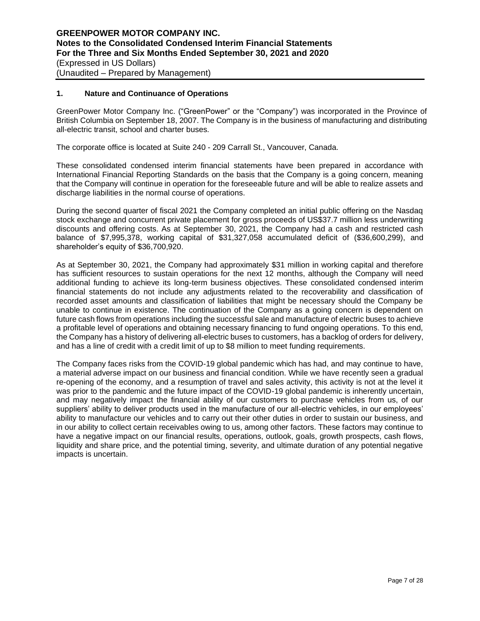## **1. Nature and Continuance of Operations**

GreenPower Motor Company Inc. ("GreenPower" or the "Company") was incorporated in the Province of British Columbia on September 18, 2007. The Company is in the business of manufacturing and distributing all-electric transit, school and charter buses.

The corporate office is located at Suite 240 - 209 Carrall St., Vancouver, Canada.

These consolidated condensed interim financial statements have been prepared in accordance with International Financial Reporting Standards on the basis that the Company is a going concern, meaning that the Company will continue in operation for the foreseeable future and will be able to realize assets and discharge liabilities in the normal course of operations.

During the second quarter of fiscal 2021 the Company completed an initial public offering on the Nasdaq stock exchange and concurrent private placement for gross proceeds of US\$37.7 million less underwriting discounts and offering costs. As at September 30, 2021, the Company had a cash and restricted cash balance of \$7,995,378, working capital of \$31,327,058 accumulated deficit of (\$36,600,299), and shareholder's equity of \$36,700,920.

As at September 30, 2021, the Company had approximately \$31 million in working capital and therefore has sufficient resources to sustain operations for the next 12 months, although the Company will need additional funding to achieve its long-term business objectives. These consolidated condensed interim financial statements do not include any adjustments related to the recoverability and classification of recorded asset amounts and classification of liabilities that might be necessary should the Company be unable to continue in existence. The continuation of the Company as a going concern is dependent on future cash flows from operations including the successful sale and manufacture of electric buses to achieve a profitable level of operations and obtaining necessary financing to fund ongoing operations. To this end, the Company has a history of delivering all-electric buses to customers, has a backlog of orders for delivery, and has a line of credit with a credit limit of up to \$8 million to meet funding requirements.

The Company faces risks from the COVID-19 global pandemic which has had, and may continue to have, a material adverse impact on our business and financial condition. While we have recently seen a gradual re-opening of the economy, and a resumption of travel and sales activity, this activity is not at the level it was prior to the pandemic and the future impact of the COVID-19 global pandemic is inherently uncertain, and may negatively impact the financial ability of our customers to purchase vehicles from us, of our suppliers' ability to deliver products used in the manufacture of our all-electric vehicles, in our employees' ability to manufacture our vehicles and to carry out their other duties in order to sustain our business, and in our ability to collect certain receivables owing to us, among other factors. These factors may continue to have a negative impact on our financial results, operations, outlook, goals, growth prospects, cash flows, liquidity and share price, and the potential timing, severity, and ultimate duration of any potential negative impacts is uncertain.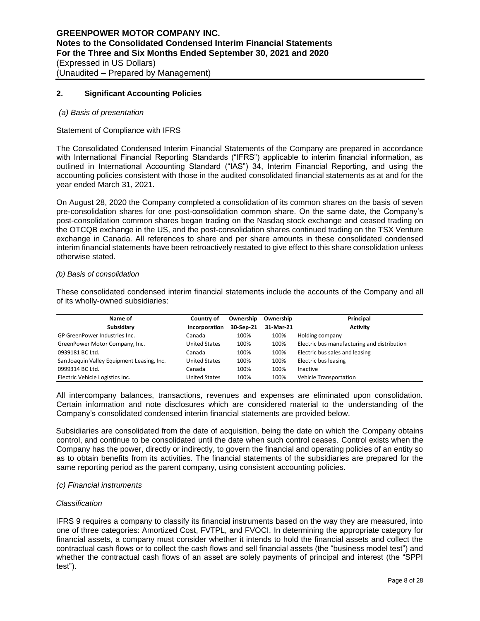## **2. Significant Accounting Policies**

#### *(a) Basis of presentation*

### Statement of Compliance with IFRS

The Consolidated Condensed Interim Financial Statements of the Company are prepared in accordance with International Financial Reporting Standards ("IFRS") applicable to interim financial information, as outlined in International Accounting Standard ("IAS") 34, Interim Financial Reporting, and using the accounting policies consistent with those in the audited consolidated financial statements as at and for the year ended March 31, 2021.

On August 28, 2020 the Company completed a consolidation of its common shares on the basis of seven pre-consolidation shares for one post-consolidation common share. On the same date, the Company's post-consolidation common shares began trading on the Nasdaq stock exchange and ceased trading on the OTCQB exchange in the US, and the post-consolidation shares continued trading on the TSX Venture exchange in Canada. All references to share and per share amounts in these consolidated condensed interim financial statements have been retroactively restated to give effect to this share consolidation unless otherwise stated.

#### *(b) Basis of consolidation*

These consolidated condensed interim financial statements include the accounts of the Company and all of its wholly-owned subsidiaries:

| Name of                                                                                                                                                                                                                                                                                                                                                                                                                                                                                                                                                                                                                                                                                                                                                                               | Country of           | Ownership | Ownership | Principal                                                                                                                                                                                                                                                                                                                                                                                                                                                                                                                                                   |  |  |  |
|---------------------------------------------------------------------------------------------------------------------------------------------------------------------------------------------------------------------------------------------------------------------------------------------------------------------------------------------------------------------------------------------------------------------------------------------------------------------------------------------------------------------------------------------------------------------------------------------------------------------------------------------------------------------------------------------------------------------------------------------------------------------------------------|----------------------|-----------|-----------|-------------------------------------------------------------------------------------------------------------------------------------------------------------------------------------------------------------------------------------------------------------------------------------------------------------------------------------------------------------------------------------------------------------------------------------------------------------------------------------------------------------------------------------------------------------|--|--|--|
| Subsidiary                                                                                                                                                                                                                                                                                                                                                                                                                                                                                                                                                                                                                                                                                                                                                                            | Incorporation        | 30-Sep-21 | 31-Mar-21 | <b>Activity</b>                                                                                                                                                                                                                                                                                                                                                                                                                                                                                                                                             |  |  |  |
| GP GreenPower Industries Inc.                                                                                                                                                                                                                                                                                                                                                                                                                                                                                                                                                                                                                                                                                                                                                         | Canada               | 100%      | 100%      | Holding company                                                                                                                                                                                                                                                                                                                                                                                                                                                                                                                                             |  |  |  |
| GreenPower Motor Company, Inc.                                                                                                                                                                                                                                                                                                                                                                                                                                                                                                                                                                                                                                                                                                                                                        | <b>United States</b> | 100%      | 100%      | Electric bus manufacturing and distribution                                                                                                                                                                                                                                                                                                                                                                                                                                                                                                                 |  |  |  |
| 0939181 BC Ltd.                                                                                                                                                                                                                                                                                                                                                                                                                                                                                                                                                                                                                                                                                                                                                                       | Canada               | 100%      | 100%      | Electric bus sales and leasing                                                                                                                                                                                                                                                                                                                                                                                                                                                                                                                              |  |  |  |
| San Joaquin Valley Equipment Leasing, Inc.                                                                                                                                                                                                                                                                                                                                                                                                                                                                                                                                                                                                                                                                                                                                            | <b>United States</b> | 100%      | 100%      | Electric bus leasing                                                                                                                                                                                                                                                                                                                                                                                                                                                                                                                                        |  |  |  |
| 0999314 BC Ltd.                                                                                                                                                                                                                                                                                                                                                                                                                                                                                                                                                                                                                                                                                                                                                                       | Canada               | 100%      | 100%      | Inactive                                                                                                                                                                                                                                                                                                                                                                                                                                                                                                                                                    |  |  |  |
| Electric Vehicle Logistics Inc.                                                                                                                                                                                                                                                                                                                                                                                                                                                                                                                                                                                                                                                                                                                                                       | <b>United States</b> | 100%      | 100%      | Vehicle Transportation                                                                                                                                                                                                                                                                                                                                                                                                                                                                                                                                      |  |  |  |
| Certain information and note disclosures which are considered material to the understanding of the<br>Company's consolidated condensed interim financial statements are provided below.<br>Subsidiaries are consolidated from the date of acquisition, being the date on which the Company obtains<br>control, and continue to be consolidated until the date when such control ceases. Control exists when the<br>Company has the power, directly or indirectly, to govern the financial and operating policies of an entity so<br>as to obtain benefits from its activities. The financial statements of the subsidiaries are prepared for the<br>same reporting period as the parent company, using consistent accounting policies.<br>(c) Financial instruments<br>Classification |                      |           |           |                                                                                                                                                                                                                                                                                                                                                                                                                                                                                                                                                             |  |  |  |
| test").                                                                                                                                                                                                                                                                                                                                                                                                                                                                                                                                                                                                                                                                                                                                                                               |                      |           |           | IFRS 9 requires a company to classify its financial instruments based on the way they are measured, into<br>one of three categories: Amortized Cost, FVTPL, and FVOCI. In determining the appropriate category for<br>financial assets, a company must consider whether it intends to hold the financial assets and collect the<br>contractual cash flows or to collect the cash flows and sell financial assets (the "business model test") and<br>whether the contractual cash flows of an asset are solely payments of principal and interest (the "SPPI |  |  |  |

## *(c) Financial instruments*

## *Classification*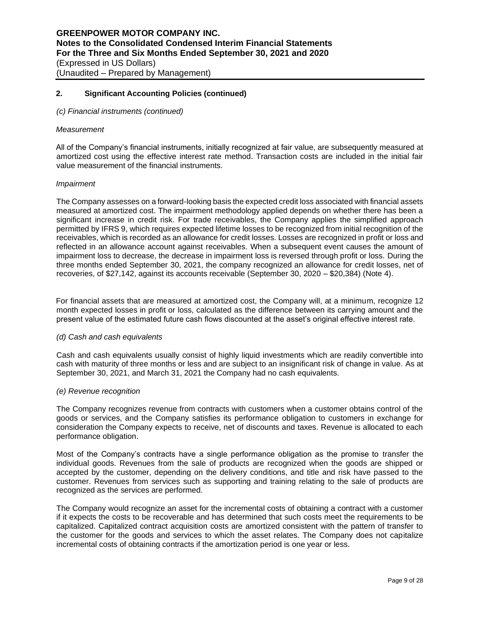### *(c) Financial instruments (continued)*

#### *Measurement*

All of the Company's financial instruments, initially recognized at fair value, are subsequently measured at amortized cost using the effective interest rate method. Transaction costs are included in the initial fair value measurement of the financial instruments.

### *Impairment*

The Company assesses on a forward-looking basis the expected credit loss associated with financial assets measured at amortized cost. The impairment methodology applied depends on whether there has been a significant increase in credit risk. For trade receivables, the Company applies the simplified approach permitted by IFRS 9, which requires expected lifetime losses to be recognized from initial recognition of the receivables, which is recorded as an allowance for credit losses. Losses are recognized in profit or loss and reflected in an allowance account against receivables. When a subsequent event causes the amount of impairment loss to decrease, the decrease in impairment loss is reversed through profit or loss. During the three months ended September 30, 2021, the company recognized an allowance for credit losses, net of recoveries, of \$27,142, against its accounts receivable (September 30, 2020 – \$20,384) (Note 4).

For financial assets that are measured at amortized cost, the Company will, at a minimum, recognize 12 month expected losses in profit or loss, calculated as the difference between its carrying amount and the present value of the estimated future cash flows discounted at the asset's original effective interest rate.

#### *(d) Cash and cash equivalents*

Cash and cash equivalents usually consist of highly liquid investments which are readily convertible into cash with maturity of three months or less and are subject to an insignificant risk of change in value. As at September 30, 2021, and March 31, 2021 the Company had no cash equivalents.

### *(e) Revenue recognition*

The Company recognizes revenue from contracts with customers when a customer obtains control of the goods or services, and the Company satisfies its performance obligation to customers in exchange for consideration the Company expects to receive, net of discounts and taxes. Revenue is allocated to each performance obligation.

Most of the Company's contracts have a single performance obligation as the promise to transfer the individual goods. Revenues from the sale of products are recognized when the goods are shipped or accepted by the customer, depending on the delivery conditions, and title and risk have passed to the customer. Revenues from services such as supporting and training relating to the sale of products are recognized as the services are performed.

The Company would recognize an asset for the incremental costs of obtaining a contract with a customer if it expects the costs to be recoverable and has determined that such costs meet the requirements to be capitalized. Capitalized contract acquisition costs are amortized consistent with the pattern of transfer to the customer for the goods and services to which the asset relates. The Company does not capitalize incremental costs of obtaining contracts if the amortization period is one year or less.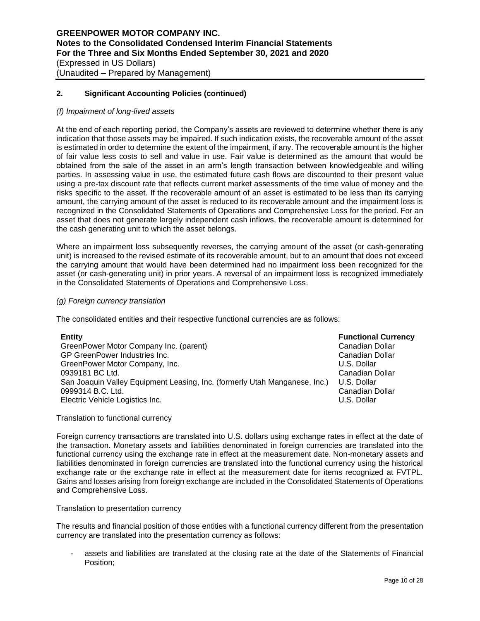### *(f) Impairment of long-lived assets*

At the end of each reporting period, the Company's assets are reviewed to determine whether there is any indication that those assets may be impaired. If such indication exists, the recoverable amount of the asset is estimated in order to determine the extent of the impairment, if any. The recoverable amount is the higher of fair value less costs to sell and value in use. Fair value is determined as the amount that would be obtained from the sale of the asset in an arm's length transaction between knowledgeable and willing parties. In assessing value in use, the estimated future cash flows are discounted to their present value using a pre-tax discount rate that reflects current market assessments of the time value of money and the risks specific to the asset. If the recoverable amount of an asset is estimated to be less than its carrying amount, the carrying amount of the asset is reduced to its recoverable amount and the impairment loss is recognized in the Consolidated Statements of Operations and Comprehensive Loss for the period. For an asset that does not generate largely independent cash inflows, the recoverable amount is determined for the cash generating unit to which the asset belongs.

Where an impairment loss subsequently reverses, the carrying amount of the asset (or cash-generating unit) is increased to the revised estimate of its recoverable amount, but to an amount that does not exceed the carrying amount that would have been determined had no impairment loss been recognized for the asset (or cash-generating unit) in prior years. A reversal of an impairment loss is recognized immediately in the Consolidated Statements of Operations and Comprehensive Loss.

### *(g) Foreign currency translation*

The consolidated entities and their respective functional currencies are as follows:

| <b>Entity</b>                                                              | <b>Functional Currency</b> |
|----------------------------------------------------------------------------|----------------------------|
| GreenPower Motor Company Inc. (parent)                                     | Canadian Dollar            |
| GP GreenPower Industries Inc.                                              | Canadian Dollar            |
| GreenPower Motor Company, Inc.                                             | U.S. Dollar                |
| 0939181 BC Ltd.                                                            | Canadian Dollar            |
| San Joaquin Valley Equipment Leasing, Inc. (formerly Utah Manganese, Inc.) | U.S. Dollar                |
| 0999314 B.C. Ltd.                                                          | Canadian Dollar            |
| Electric Vehicle Logistics Inc.                                            | U.S. Dollar                |
|                                                                            |                            |

Translation to functional currency

Foreign currency transactions are translated into U.S. dollars using exchange rates in effect at the date of the transaction. Monetary assets and liabilities denominated in foreign currencies are translated into the functional currency using the exchange rate in effect at the measurement date. Non-monetary assets and liabilities denominated in foreign currencies are translated into the functional currency using the historical exchange rate or the exchange rate in effect at the measurement date for items recognized at FVTPL. Gains and losses arising from foreign exchange are included in the Consolidated Statements of Operations and Comprehensive Loss.

### Translation to presentation currency

The results and financial position of those entities with a functional currency different from the presentation currency are translated into the presentation currency as follows:

assets and liabilities are translated at the closing rate at the date of the Statements of Financial Position;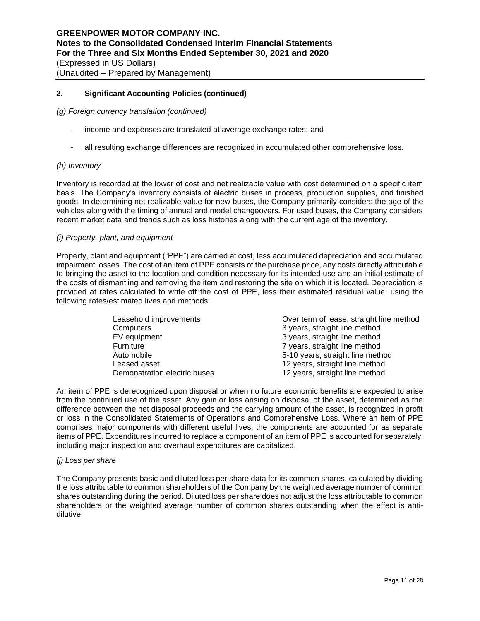*(g) Foreign currency translation (continued)*

- income and expenses are translated at average exchange rates; and
- all resulting exchange differences are recognized in accumulated other comprehensive loss.

### *(h) Inventory*

Inventory is recorded at the lower of cost and net realizable value with cost determined on a specific item basis. The Company's inventory consists of electric buses in process, production supplies, and finished goods. In determining net realizable value for new buses, the Company primarily considers the age of the vehicles along with the timing of annual and model changeovers. For used buses, the Company considers recent market data and trends such as loss histories along with the current age of the inventory.

### *(i) Property, plant, and equipment*

Property, plant and equipment ("PPE") are carried at cost, less accumulated depreciation and accumulated impairment losses. The cost of an item of PPE consists of the purchase price, any costs directly attributable to bringing the asset to the location and condition necessary for its intended use and an initial estimate of the costs of dismantling and removing the item and restoring the site on which it is located. Depreciation is provided at rates calculated to write off the cost of PPE, less their estimated residual value, using the following rates/estimated lives and methods:

| Leasehold improvements       | Over term of lease, straight line method |
|------------------------------|------------------------------------------|
| Computers                    | 3 years, straight line method            |
| EV equipment                 | 3 years, straight line method            |
| <b>Furniture</b>             | 7 years, straight line method            |
| Automobile                   | 5-10 years, straight line method         |
| Leased asset                 | 12 years, straight line method           |
| Demonstration electric buses | 12 years, straight line method           |

An item of PPE is derecognized upon disposal or when no future economic benefits are expected to arise from the continued use of the asset. Any gain or loss arising on disposal of the asset, determined as the difference between the net disposal proceeds and the carrying amount of the asset, is recognized in profit or loss in the Consolidated Statements of Operations and Comprehensive Loss. Where an item of PPE comprises major components with different useful lives, the components are accounted for as separate items of PPE. Expenditures incurred to replace a component of an item of PPE is accounted for separately, including major inspection and overhaul expenditures are capitalized.

#### *(j) Loss per share*

The Company presents basic and diluted loss per share data for its common shares, calculated by dividing the loss attributable to common shareholders of the Company by the weighted average number of common shares outstanding during the period. Diluted loss per share does not adjust the loss attributable to common shareholders or the weighted average number of common shares outstanding when the effect is antidilutive.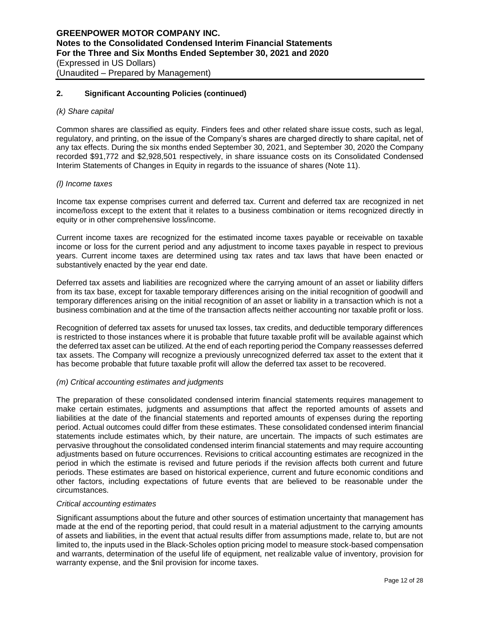### *(k) Share capital*

Common shares are classified as equity. Finders fees and other related share issue costs, such as legal, regulatory, and printing, on the issue of the Company's shares are charged directly to share capital, net of any tax effects. During the six months ended September 30, 2021, and September 30, 2020 the Company recorded \$91,772 and \$2,928,501 respectively, in share issuance costs on its Consolidated Condensed Interim Statements of Changes in Equity in regards to the issuance of shares (Note 11).

### *(l) Income taxes*

Income tax expense comprises current and deferred tax. Current and deferred tax are recognized in net income/loss except to the extent that it relates to a business combination or items recognized directly in equity or in other comprehensive loss/income.

Current income taxes are recognized for the estimated income taxes payable or receivable on taxable income or loss for the current period and any adjustment to income taxes payable in respect to previous years. Current income taxes are determined using tax rates and tax laws that have been enacted or substantively enacted by the year end date.

Deferred tax assets and liabilities are recognized where the carrying amount of an asset or liability differs from its tax base, except for taxable temporary differences arising on the initial recognition of goodwill and temporary differences arising on the initial recognition of an asset or liability in a transaction which is not a business combination and at the time of the transaction affects neither accounting nor taxable profit or loss.

Recognition of deferred tax assets for unused tax losses, tax credits, and deductible temporary differences is restricted to those instances where it is probable that future taxable profit will be available against which the deferred tax asset can be utilized. At the end of each reporting period the Company reassesses deferred tax assets. The Company will recognize a previously unrecognized deferred tax asset to the extent that it has become probable that future taxable profit will allow the deferred tax asset to be recovered.

## *(m) Critical accounting estimates and judgments*

The preparation of these consolidated condensed interim financial statements requires management to make certain estimates, judgments and assumptions that affect the reported amounts of assets and liabilities at the date of the financial statements and reported amounts of expenses during the reporting period. Actual outcomes could differ from these estimates. These consolidated condensed interim financial statements include estimates which, by their nature, are uncertain. The impacts of such estimates are pervasive throughout the consolidated condensed interim financial statements and may require accounting adjustments based on future occurrences. Revisions to critical accounting estimates are recognized in the period in which the estimate is revised and future periods if the revision affects both current and future periods. These estimates are based on historical experience, current and future economic conditions and other factors, including expectations of future events that are believed to be reasonable under the circumstances.

#### *Critical accounting estimates*

Significant assumptions about the future and other sources of estimation uncertainty that management has made at the end of the reporting period, that could result in a material adjustment to the carrying amounts of assets and liabilities, in the event that actual results differ from assumptions made, relate to, but are not limited to, the inputs used in the Black-Scholes option pricing model to measure stock-based compensation and warrants, determination of the useful life of equipment, net realizable value of inventory, provision for warranty expense, and the \$nil provision for income taxes.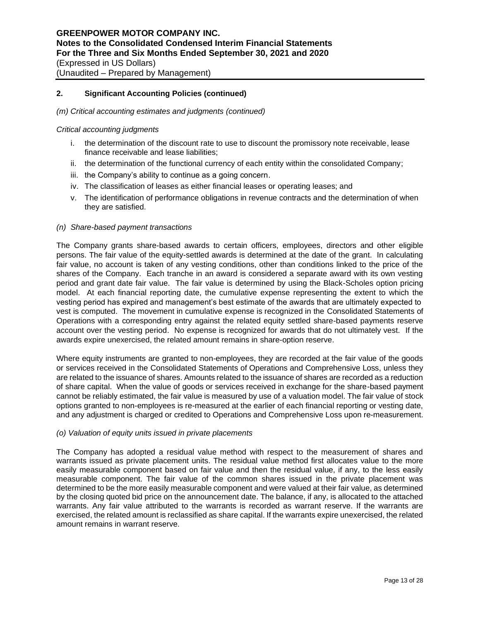### *(m) Critical accounting estimates and judgments (continued)*

### *Critical accounting judgments*

- i. the determination of the discount rate to use to discount the promissory note receivable, lease finance receivable and lease liabilities;
- ii. the determination of the functional currency of each entity within the consolidated Company;
- iii. the Company's ability to continue as a going concern.
- iv. The classification of leases as either financial leases or operating leases; and
- v. The identification of performance obligations in revenue contracts and the determination of when they are satisfied.

### *(n) Share-based payment transactions*

The Company grants share-based awards to certain officers, employees, directors and other eligible persons. The fair value of the equity-settled awards is determined at the date of the grant. In calculating fair value, no account is taken of any vesting conditions, other than conditions linked to the price of the shares of the Company. Each tranche in an award is considered a separate award with its own vesting period and grant date fair value. The fair value is determined by using the Black-Scholes option pricing model. At each financial reporting date, the cumulative expense representing the extent to which the vesting period has expired and management's best estimate of the awards that are ultimately expected to vest is computed. The movement in cumulative expense is recognized in the Consolidated Statements of Operations with a corresponding entry against the related equity settled share-based payments reserve account over the vesting period. No expense is recognized for awards that do not ultimately vest. If the awards expire unexercised, the related amount remains in share-option reserve.

Where equity instruments are granted to non-employees, they are recorded at the fair value of the goods or services received in the Consolidated Statements of Operations and Comprehensive Loss, unless they are related to the issuance of shares. Amounts related to the issuance of shares are recorded as a reduction of share capital. When the value of goods or services received in exchange for the share-based payment cannot be reliably estimated, the fair value is measured by use of a valuation model. The fair value of stock options granted to non-employees is re-measured at the earlier of each financial reporting or vesting date, and any adjustment is charged or credited to Operations and Comprehensive Loss upon re-measurement.

#### *(o) Valuation of equity units issued in private placements*

The Company has adopted a residual value method with respect to the measurement of shares and warrants issued as private placement units. The residual value method first allocates value to the more easily measurable component based on fair value and then the residual value, if any, to the less easily measurable component. The fair value of the common shares issued in the private placement was determined to be the more easily measurable component and were valued at their fair value, as determined by the closing quoted bid price on the announcement date. The balance, if any, is allocated to the attached warrants. Any fair value attributed to the warrants is recorded as warrant reserve. If the warrants are exercised, the related amount is reclassified as share capital. If the warrants expire unexercised, the related amount remains in warrant reserve.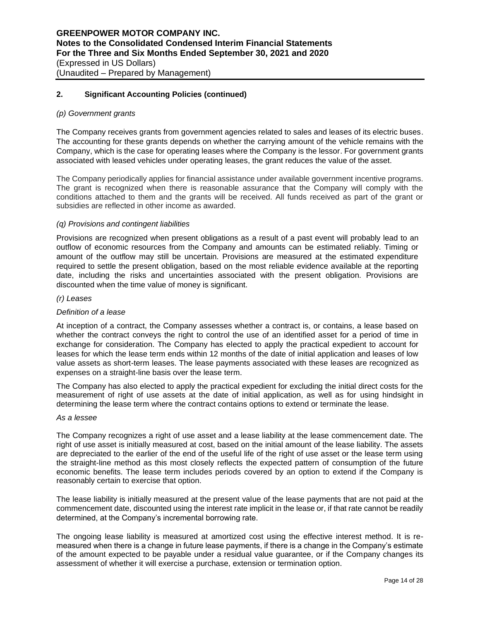### *(p) Government grants*

The Company receives grants from government agencies related to sales and leases of its electric buses. The accounting for these grants depends on whether the carrying amount of the vehicle remains with the Company, which is the case for operating leases where the Company is the lessor. For government grants associated with leased vehicles under operating leases, the grant reduces the value of the asset.

The Company periodically applies for financial assistance under available government incentive programs. The grant is recognized when there is reasonable assurance that the Company will comply with the conditions attached to them and the grants will be received. All funds received as part of the grant or subsidies are reflected in other income as awarded.

## *(q) Provisions and contingent liabilities*

Provisions are recognized when present obligations as a result of a past event will probably lead to an outflow of economic resources from the Company and amounts can be estimated reliably. Timing or amount of the outflow may still be uncertain. Provisions are measured at the estimated expenditure required to settle the present obligation, based on the most reliable evidence available at the reporting date, including the risks and uncertainties associated with the present obligation. Provisions are discounted when the time value of money is significant.

### *(r) Leases*

#### *Definition of a lease*

At inception of a contract, the Company assesses whether a contract is, or contains, a lease based on whether the contract conveys the right to control the use of an identified asset for a period of time in exchange for consideration. The Company has elected to apply the practical expedient to account for leases for which the lease term ends within 12 months of the date of initial application and leases of low value assets as short-term leases. The lease payments associated with these leases are recognized as expenses on a straight-line basis over the lease term.

The Company has also elected to apply the practical expedient for excluding the initial direct costs for the measurement of right of use assets at the date of initial application, as well as for using hindsight in determining the lease term where the contract contains options to extend or terminate the lease.

#### *As a lessee*

The Company recognizes a right of use asset and a lease liability at the lease commencement date. The right of use asset is initially measured at cost, based on the initial amount of the lease liability. The assets are depreciated to the earlier of the end of the useful life of the right of use asset or the lease term using the straight-line method as this most closely reflects the expected pattern of consumption of the future economic benefits. The lease term includes periods covered by an option to extend if the Company is reasonably certain to exercise that option.

The lease liability is initially measured at the present value of the lease payments that are not paid at the commencement date, discounted using the interest rate implicit in the lease or, if that rate cannot be readily determined, at the Company's incremental borrowing rate.

The ongoing lease liability is measured at amortized cost using the effective interest method. It is remeasured when there is a change in future lease payments, if there is a change in the Company's estimate of the amount expected to be payable under a residual value guarantee, or if the Company changes its assessment of whether it will exercise a purchase, extension or termination option.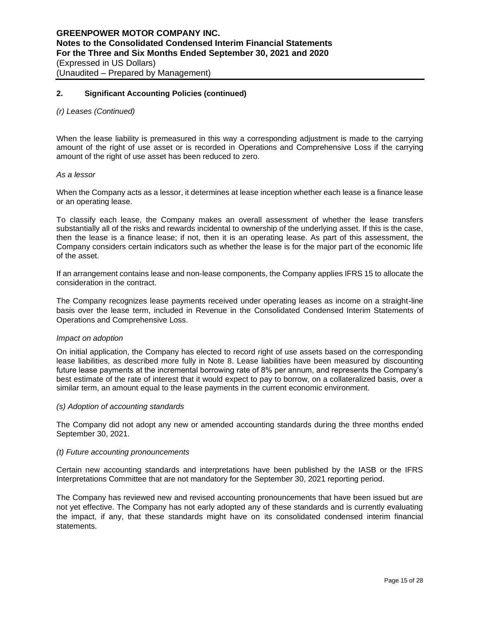### *(r) Leases (Continued)*

When the lease liability is premeasured in this way a corresponding adjustment is made to the carrying amount of the right of use asset or is recorded in Operations and Comprehensive Loss if the carrying amount of the right of use asset has been reduced to zero.

### *As a lessor*

When the Company acts as a lessor, it determines at lease inception whether each lease is a finance lease or an operating lease.

To classify each lease, the Company makes an overall assessment of whether the lease transfers substantially all of the risks and rewards incidental to ownership of the underlying asset. If this is the case, then the lease is a finance lease; if not, then it is an operating lease. As part of this assessment, the Company considers certain indicators such as whether the lease is for the major part of the economic life of the asset.

If an arrangement contains lease and non-lease components, the Company applies IFRS 15 to allocate the consideration in the contract.

The Company recognizes lease payments received under operating leases as income on a straight-line basis over the lease term, included in Revenue in the Consolidated Condensed Interim Statements of Operations and Comprehensive Loss.

#### *Impact on adoption*

On initial application, the Company has elected to record right of use assets based on the corresponding lease liabilities, as described more fully in Note 8. Lease liabilities have been measured by discounting future lease payments at the incremental borrowing rate of 8% per annum, and represents the Company's best estimate of the rate of interest that it would expect to pay to borrow, on a collateralized basis, over a similar term, an amount equal to the lease payments in the current economic environment.

#### *(s) Adoption of accounting standards*

The Company did not adopt any new or amended accounting standards during the three months ended September 30, 2021.

### *(t) Future accounting pronouncements*

Certain new accounting standards and interpretations have been published by the IASB or the IFRS Interpretations Committee that are not mandatory for the September 30, 2021 reporting period.

The Company has reviewed new and revised accounting pronouncements that have been issued but are not yet effective. The Company has not early adopted any of these standards and is currently evaluating the impact, if any, that these standards might have on its consolidated condensed interim financial statements.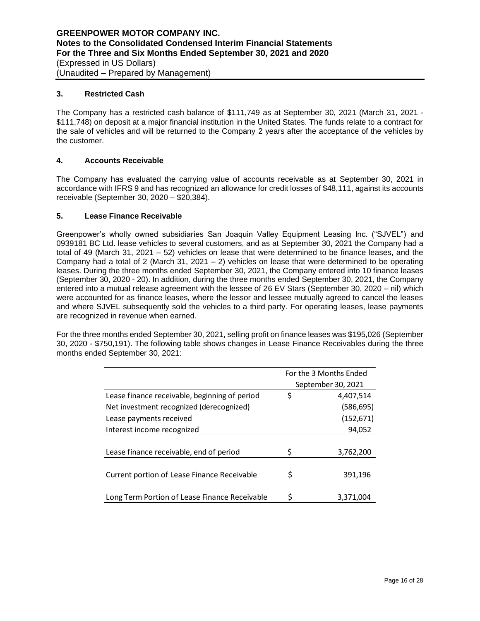## **3. Restricted Cash**

The Company has a restricted cash balance of \$111,749 as at September 30, 2021 (March 31, 2021 - \$111,748) on deposit at a major financial institution in the United States. The funds relate to a contract for the sale of vehicles and will be returned to the Company 2 years after the acceptance of the vehicles by the customer.

## **4. Accounts Receivable**

The Company has evaluated the carrying value of accounts receivable as at September 30, 2021 in accordance with IFRS 9 and has recognized an allowance for credit losses of \$48,111, against its accounts receivable (September 30, 2020 – \$20,384).

## **5. Lease Finance Receivable**

Greenpower's wholly owned subsidiaries San Joaquin Valley Equipment Leasing Inc. ("SJVEL") and 0939181 BC Ltd. lease vehicles to several customers, and as at September 30, 2021 the Company had a total of 49 (March 31, 2021 – 52) vehicles on lease that were determined to be finance leases, and the Company had a total of 2 (March 31, 2021 – 2) vehicles on lease that were determined to be operating leases. During the three months ended September 30, 2021, the Company entered into 10 finance leases (September 30, 2020 - 20). In addition, during the three months ended September 30, 2021, the Company entered into a mutual release agreement with the lessee of 26 EV Stars (September 30, 2020 – nil) which were accounted for as finance leases, where the lessor and lessee mutually agreed to cancel the leases and where SJVEL subsequently sold the vehicles to a third party. For operating leases, lease payments are recognized in revenue when earned.

For the three months ended September 30, 2021, selling profit on finance leases was \$195,026 (September 30, 2020 - \$750,191). The following table shows changes in Lease Finance Receivables during the three months ended September 30, 2021:

|                                               | For the 3 Months Ended |                    |  |
|-----------------------------------------------|------------------------|--------------------|--|
|                                               |                        | September 30, 2021 |  |
| Lease finance receivable, beginning of period | \$                     | 4,407,514          |  |
| Net investment recognized (derecognized)      |                        | (586,695)          |  |
| Lease payments received                       |                        | (152, 671)         |  |
| Interest income recognized                    |                        | 94,052             |  |
|                                               |                        |                    |  |
| Lease finance receivable, end of period       | \$                     | 3,762,200          |  |
|                                               |                        |                    |  |
| Current portion of Lease Finance Receivable   | Ş                      | 391,196            |  |
|                                               |                        |                    |  |
| Long Term Portion of Lease Finance Receivable | S                      | 3.371.004          |  |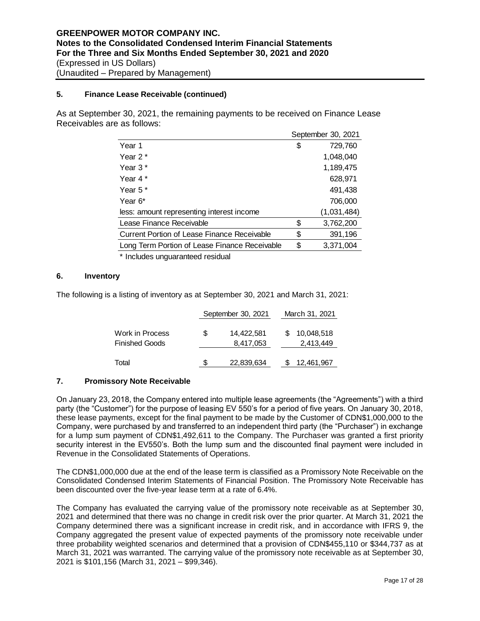## **5. Finance Lease Receivable (continued)**

As at September 30, 2021, the remaining payments to be received on Finance Lease Receivables are as follows:

|                                               | September 30, 2021 |
|-----------------------------------------------|--------------------|
| Year 1                                        | \$<br>729,760      |
| Year 2 *                                      | 1,048,040          |
| Year 3*                                       | 1,189,475          |
| Year 4*                                       | 628,971            |
| Year $5*$                                     | 491,438            |
| Year 6*                                       | 706,000            |
| less: amount representing interest income     | (1,031,484)        |
| Lease Finance Receivable                      | \$<br>3,762,200    |
| Current Portion of Lease Finance Receivable   | \$<br>391,196      |
| Long Term Portion of Lease Finance Receivable | \$<br>3,371,004    |
|                                               |                    |

Includes unguaranteed residual

## **6. Inventory**

The following is a listing of inventory as at September 30, 2021 and March 31, 2021:

|                                          |    | September 30, 2021      | March 31, 2021          |
|------------------------------------------|----|-------------------------|-------------------------|
| Work in Process<br><b>Finished Goods</b> | \$ | 14,422,581<br>8,417,053 | 10,048,518<br>2,413,449 |
| Total                                    | S  | 22,839,634              | 12,461,967              |

## **7. Promissory Note Receivable**

On January 23, 2018, the Company entered into multiple lease agreements (the "Agreements") with a third party (the "Customer") for the purpose of leasing EV 550's for a period of five years. On January 30, 2018, these lease payments, except for the final payment to be made by the Customer of CDN\$1,000,000 to the Company, were purchased by and transferred to an independent third party (the "Purchaser") in exchange for a lump sum payment of CDN\$1,492,611 to the Company. The Purchaser was granted a first priority security interest in the EV550's. Both the lump sum and the discounted final payment were included in Revenue in the Consolidated Statements of Operations.

The CDN\$1,000,000 due at the end of the lease term is classified as a Promissory Note Receivable on the Consolidated Condensed Interim Statements of Financial Position. The Promissory Note Receivable has been discounted over the five-year lease term at a rate of 6.4%.

The Company has evaluated the carrying value of the promissory note receivable as at September 30, 2021 and determined that there was no change in credit risk over the prior quarter. At March 31, 2021 the Company determined there was a significant increase in credit risk, and in accordance with IFRS 9, the Company aggregated the present value of expected payments of the promissory note receivable under three probability weighted scenarios and determined that a provision of CDN\$455,110 or \$344,737 as at March 31, 2021 was warranted. The carrying value of the promissory note receivable as at September 30, 2021 is \$101,156 (March 31, 2021 – \$99,346).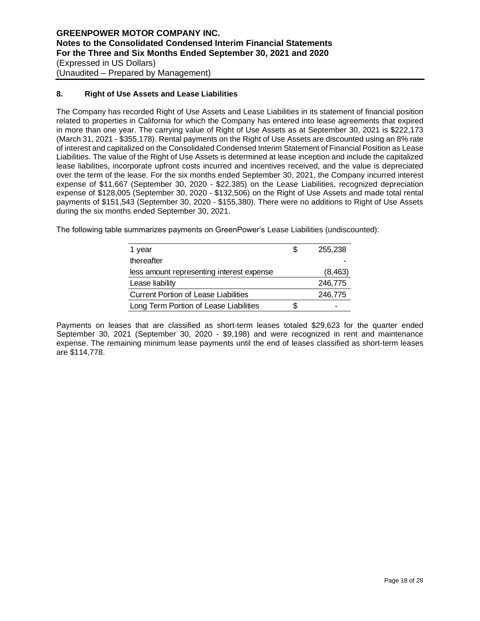## **8. Right of Use Assets and Lease Liabilities**

The Company has recorded Right of Use Assets and Lease Liabilities in its statement of financial position related to properties in California for which the Company has entered into lease agreements that expired in more than one year. The carrying value of Right of Use Assets as at September 30, 2021 is \$222,173 (March 31, 2021 - \$355,178). Rental payments on the Right of Use Assets are discounted using an 8% rate of interestand capitalized on the Consolidated Condensed Interim Statement of Financial Position as Lease Liabilities. The value of the Right of Use Assets is determined at lease inception and include the capitalized lease liabilities, incorporate upfront costs incurred and incentives received, and the value is depreciated over the term of the lease. For the six months ended September 30, 2021, the Company incurred interest expense of \$11,667 (September 30, 2020 - \$22,385) on the Lease Liabilities, recognized depreciation expense of \$128,005 (September 30, 2020 - \$132,506) on the Right of Use Assets and made total rental payments of \$151,543 (September 30, 2020 - \$155,380). There were no additions to Right of Use Assets during the six months ended September 30, 2021.

The following table summarizes payments on GreenPower's Lease Liabilities (undiscounted):

| 1 year                                      | S | 255,238  |
|---------------------------------------------|---|----------|
| thereafter                                  |   |          |
| less amount representing interest expense   |   | (8, 463) |
| Lease liability                             |   | 246,775  |
| <b>Current Portion of Lease Liabilities</b> |   | 246,775  |
| Long Term Portion of Lease Liabilities      |   | -        |

Payments on leases that are classified as short-term leases totaled \$29,623 for the quarter ended September 30, 2021 (September 30, 2020 - \$9,198) and were recognized in rent and maintenance expense. The remaining minimum lease payments until the end of leases classified as short-term leases are \$114,778.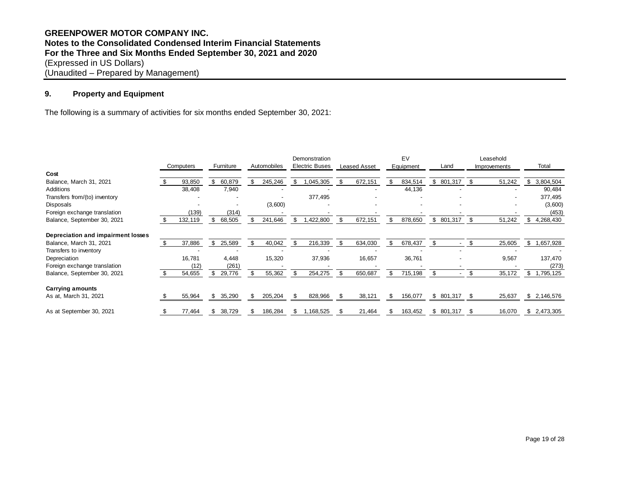## **GREENPOWER MOTOR COMPANY INC. Notes to the Consolidated Condensed Interim Financial Statements For the Three and Six Months Ended September 30, 2021 and 2020** (Expressed in US Dollars) (Unaudited – Prepared by Management)

## **9. Property and Equipment**

The following is a summary of activities for six months ended September 30, 2021:

|                                    |     |           |              |     |             |    | Demonstration         |      |                     |     | EV        |                                | Leasehold    |                 |
|------------------------------------|-----|-----------|--------------|-----|-------------|----|-----------------------|------|---------------------|-----|-----------|--------------------------------|--------------|-----------------|
|                                    |     | Computers | Furniture    |     | Automobiles |    | <b>Electric Buses</b> |      | <b>Leased Asset</b> |     | Equipment | Land                           | Improvements | Total           |
| Cost                               |     |           |              |     |             |    |                       |      |                     |     |           |                                |              |                 |
| Balance, March 31, 2021            |     | 93,850    | \$<br>60,879 |     | 245,246     |    | 1,045,305             | \$   | 672,151             | £.  | 834,514   | \$<br>801,317                  | \$<br>51,242 | \$<br>3,804,504 |
| Additions                          |     | 38,408    | 7,940        |     |             |    |                       |      |                     |     | 44,136    |                                |              | 90,484          |
| Transfers from/(to) inventory      |     |           |              |     |             |    | 377,495               |      |                     |     |           |                                |              | 377,495         |
| <b>Disposals</b>                   |     |           |              |     | (3,600)     |    |                       |      |                     |     |           |                                |              | (3,600)         |
| Foreign exchange translation       |     | (139)     | (314)        |     |             |    |                       |      |                     |     |           |                                |              | (453)           |
| Balance, September 30, 2021        | \$. | 132,119   | \$<br>68,505 |     | 241,646     | \$ | 422,800               | \$   | 672,151             | \$  | 878,650   | \$801,317                      | \$<br>51,242 | \$<br>4,268,430 |
| Depreciation and impairment losses |     |           |              |     |             |    |                       |      |                     |     |           |                                |              |                 |
| Balance, March 31, 2021            | \$  | 37,886    | \$<br>25,589 |     | 40,042      |    | 216,339               | \$   | 634,030             | \$  | 678,437   | \$                             | \$<br>25,605 | \$<br>1,657,928 |
| Transfers to inventory             |     |           |              |     |             |    |                       |      |                     |     |           |                                |              |                 |
| Depreciation                       |     | 16,781    | 4,448        |     | 15,320      |    | 37,936                |      | 16,657              |     | 36,761    |                                | 9,567        | 137,470         |
| Foreign exchange translation       |     | (12)      | (261)        |     |             |    |                       |      |                     |     |           |                                |              | (273)           |
| Balance, September 30, 2021        |     | 54,655    | \$<br>29,776 |     | 55,362      | \$ | 254,275               | \$   | 650,687             | \$  | 715,198   | \$<br>$\overline{\phantom{0}}$ | \$<br>35,172 | \$<br>1,795,125 |
| <b>Carrying amounts</b>            |     |           |              |     |             |    |                       |      |                     |     |           |                                |              |                 |
| As at, March 31, 2021              | S   | 55,964    | \$<br>35,290 | \$. | 205,204     | S  | 828,966               | - \$ | 38,121              | \$. | 156,077   | $$801,317$ \;                  | 25,637       | \$2,146,576     |
| As at September 30, 2021           | \$  | 77,464    | \$<br>38,729 | S   | 186,284     | \$ | 1,168,525             | \$   | 21,464              | \$  | 163,452   | \$801,317                      | \$<br>16,070 | \$2,473,305     |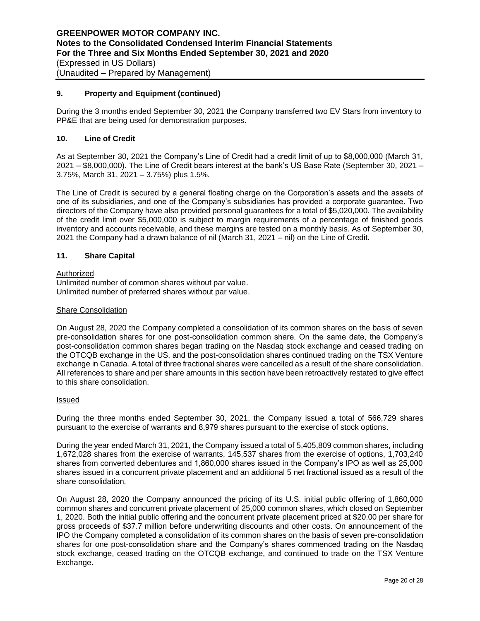## **9. Property and Equipment (continued)**

During the 3 months ended September 30, 2021 the Company transferred two EV Stars from inventory to PP&E that are being used for demonstration purposes.

## **10. Line of Credit**

As at September 30, 2021 the Company's Line of Credit had a credit limit of up to \$8,000,000 (March 31, 2021 – \$8,000,000). The Line of Credit bears interest at the bank's US Base Rate (September 30, 2021 – 3.75%, March 31, 2021 – 3.75%) plus 1.5%.

The Line of Credit is secured by a general floating charge on the Corporation's assets and the assets of one of its subsidiaries, and one of the Company's subsidiaries has provided a corporate guarantee. Two directors of the Company have also provided personal guarantees for a total of \$5,020,000. The availability of the credit limit over \$5,000,000 is subject to margin requirements of a percentage of finished goods inventory and accounts receivable, and these margins are tested on a monthly basis. As of September 30, 2021 the Company had a drawn balance of nil (March 31, 2021 – nil) on the Line of Credit.

## **11. Share Capital**

## Authorized

Unlimited number of common shares without par value. Unlimited number of preferred shares without par value.

## Share Consolidation

On August 28, 2020 the Company completed a consolidation of its common shares on the basis of seven pre-consolidation shares for one post-consolidation common share. On the same date, the Company's post-consolidation common shares began trading on the Nasdaq stock exchange and ceased trading on the OTCQB exchange in the US, and the post-consolidation shares continued trading on the TSX Venture exchange in Canada. A total of threefractional shares were cancelled as a result of the share consolidation. All references to share and per share amounts in this section have been retroactively restated to give effect to this share consolidation.

#### Issued

During the three months ended September 30, 2021, the Company issued a total of 566,729 shares pursuant to the exercise of warrants and 8,979 shares pursuant to the exercise of stock options.

During the year ended March 31, 2021, the Company issued a total of 5,405,809 common shares, including 1,672,028 shares from the exercise of warrants, 145,537 shares from the exercise of options, 1,703,240 shares from converted debentures and 1,860,000 shares issued in the Company's IPO as well as 25,000 shares issued in a concurrent private placement and an additional 5 net fractional issued as a result of the share consolidation.

On August 28, 2020 the Company announced the pricing of its U.S. initial public offering of 1,860,000 common shares and concurrent private placement of 25,000 common shares, which closed on September 1, 2020. Both the initial public offering and the concurrent private placement priced at \$20.00 per share for gross proceeds of \$37.7 million before underwriting discounts and other costs. On announcement of the IPO the Company completed a consolidation of its common shares on the basis of seven pre-consolidation shares for one post-consolidation share and the Company's shares commenced trading on the Nasdaq stock exchange, ceased trading on the OTCQB exchange, and continued to trade on the TSX Venture Exchange.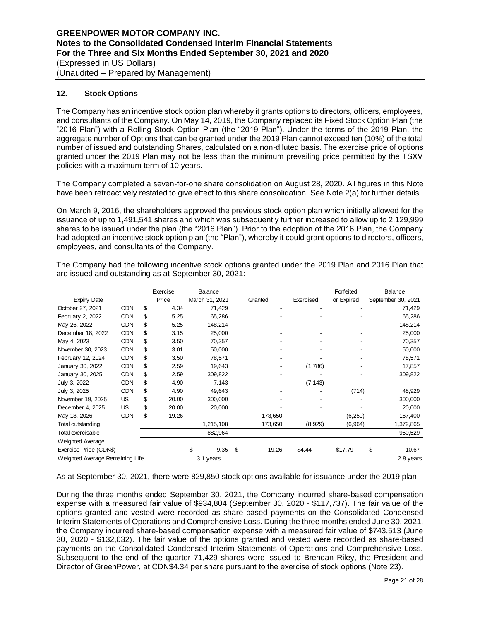## **12. Stock Options**

The Company has an incentive stock option plan whereby it grants options to directors, officers, employees, and consultants of the Company. On May 14, 2019, the Company replaced its Fixed Stock Option Plan (the "2016 Plan") with a Rolling Stock Option Plan (the "2019 Plan"). Under the terms of the 2019 Plan, the aggregate number of Options that can be granted under the 2019 Plan cannot exceed ten (10%) of the total number of issued and outstanding Shares, calculated on a non-diluted basis. The exercise price of options granted under the 2019 Plan may not be less than the minimum prevailing price permitted by the TSXV policies with a maximum term of 10 years.

The Company completed a seven-for-one share consolidation on August 28, 2020. All figures in this Note have been retroactively restated to give effect to this share consolidation. See Note 2(a) for further details.

On March 9, 2016, the shareholders approved the previous stock option plan which initially allowed for the issuance of up to 1,491,541 shares and which was subsequently further increased to allow up to 2,129,999 shares to be issued under the plan (the "2016 Plan"). Prior to the adoption of the 2016 Plan, the Company had adopted an incentive stock option plan (the "Plan"), whereby it could grant options to directors, officers, employees, and consultants of the Company.

|                                                                                                                                                                                                                                                                                                                                                                                                                                                                                                                             |            |    | Exercise | Balance        |    |         |           | Forfeited  | Balance            |  |
|-----------------------------------------------------------------------------------------------------------------------------------------------------------------------------------------------------------------------------------------------------------------------------------------------------------------------------------------------------------------------------------------------------------------------------------------------------------------------------------------------------------------------------|------------|----|----------|----------------|----|---------|-----------|------------|--------------------|--|
| <b>Expiry Date</b>                                                                                                                                                                                                                                                                                                                                                                                                                                                                                                          |            |    | Price    | March 31, 2021 |    | Granted | Exercised | or Expired | September 30, 2021 |  |
| October 27, 2021                                                                                                                                                                                                                                                                                                                                                                                                                                                                                                            | <b>CDN</b> | \$ | 4.34     | 71,429         |    |         |           |            | 71,429             |  |
| February 2, 2022                                                                                                                                                                                                                                                                                                                                                                                                                                                                                                            | <b>CDN</b> | \$ | 5.25     | 65,286         |    |         |           |            | 65,286             |  |
| May 26, 2022                                                                                                                                                                                                                                                                                                                                                                                                                                                                                                                | <b>CDN</b> | \$ | 5.25     | 148,214        |    |         |           |            | 148,214            |  |
| December 18, 2022                                                                                                                                                                                                                                                                                                                                                                                                                                                                                                           | <b>CDN</b> | \$ | 3.15     | 25,000         |    |         |           |            | 25,000             |  |
| May 4, 2023                                                                                                                                                                                                                                                                                                                                                                                                                                                                                                                 | <b>CDN</b> | \$ | 3.50     | 70,357         |    |         |           |            | 70,357             |  |
| November 30, 2023                                                                                                                                                                                                                                                                                                                                                                                                                                                                                                           | <b>CDN</b> | \$ | 3.01     | 50,000         |    |         |           |            | 50,000             |  |
| February 12, 2024                                                                                                                                                                                                                                                                                                                                                                                                                                                                                                           | <b>CDN</b> | \$ | 3.50     | 78,571         |    |         |           |            | 78,571             |  |
| January 30, 2022                                                                                                                                                                                                                                                                                                                                                                                                                                                                                                            | <b>CDN</b> | \$ | 2.59     | 19,643         |    |         | (1,786)   |            | 17,857             |  |
| January 30, 2025                                                                                                                                                                                                                                                                                                                                                                                                                                                                                                            | <b>CDN</b> | \$ | 2.59     | 309,822        |    |         |           |            | 309,822            |  |
| July 3, 2022                                                                                                                                                                                                                                                                                                                                                                                                                                                                                                                | <b>CDN</b> | \$ | 4.90     | 7,143          |    |         | (7, 143)  |            |                    |  |
| July 3, 2025                                                                                                                                                                                                                                                                                                                                                                                                                                                                                                                | <b>CDN</b> | \$ | 4.90     | 49,643         |    |         |           | (714)      | 48,929             |  |
| November 19, 2025                                                                                                                                                                                                                                                                                                                                                                                                                                                                                                           | US         | \$ | 20.00    | 300,000        |    |         |           |            | 300,000            |  |
| December 4, 2025                                                                                                                                                                                                                                                                                                                                                                                                                                                                                                            | <b>US</b>  | \$ | 20.00    | 20,000         |    |         |           |            | 20,000             |  |
| May 18, 2026                                                                                                                                                                                                                                                                                                                                                                                                                                                                                                                | <b>CDN</b> | \$ | 19.26    |                |    | 173,650 |           | (6, 250)   | 167,400            |  |
| Total outstanding                                                                                                                                                                                                                                                                                                                                                                                                                                                                                                           |            |    |          | 1,215,108      |    | 173,650 | (8,929)   | (6,964)    | 1,372,865          |  |
| Total exercisable                                                                                                                                                                                                                                                                                                                                                                                                                                                                                                           |            |    |          | 882,964        |    |         |           |            | 950,529            |  |
| Weighted Average                                                                                                                                                                                                                                                                                                                                                                                                                                                                                                            |            |    |          |                |    |         |           |            |                    |  |
| Exercise Price (CDN\$)                                                                                                                                                                                                                                                                                                                                                                                                                                                                                                      |            |    |          | 9.35<br>\$     | \$ | 19.26   | \$4.44    | \$17.79    | \$<br>10.67        |  |
| Weighted Average Remaining Life                                                                                                                                                                                                                                                                                                                                                                                                                                                                                             |            |    |          | 3.1 years      |    |         |           |            | 2.8 years          |  |
| As at September 30, 2021, there were 829,850 stock options available for issuance under the 2019 plan.                                                                                                                                                                                                                                                                                                                                                                                                                      |            |    |          |                |    |         |           |            |                    |  |
| During the three months ended September 30, 2021, the Company incurred share-based compensation<br>expense with a measured fair value of \$934,804 (September 30, 2020 - \$117,737). The fair value of the<br>options granted and vested were recorded as share-based payments on the Consolidated Condensed<br>Interim Statements of Operations and Comprehensive Loss. During the three months ended June 30, 2021,                                                                                                       |            |    |          |                |    |         |           |            |                    |  |
| the Company incurred share-based compensation expense with a measured fair value of \$743,513 (June<br>30, 2020 - \$132,032). The fair value of the options granted and vested were recorded as share-based<br>payments on the Consolidated Condensed Interim Statements of Operations and Comprehensive Loss.<br>Subsequent to the end of the quarter 71,429 shares were issued to Brendan Riley, the President and<br>Director of GreenPower, at CDN\$4.34 per share pursuant to the exercise of stock options (Note 23). |            |    |          |                |    |         |           |            |                    |  |

The Company had the following incentive stock options granted under the 2019 Plan and 2016 Plan that are issued and outstanding as at September 30, 2021: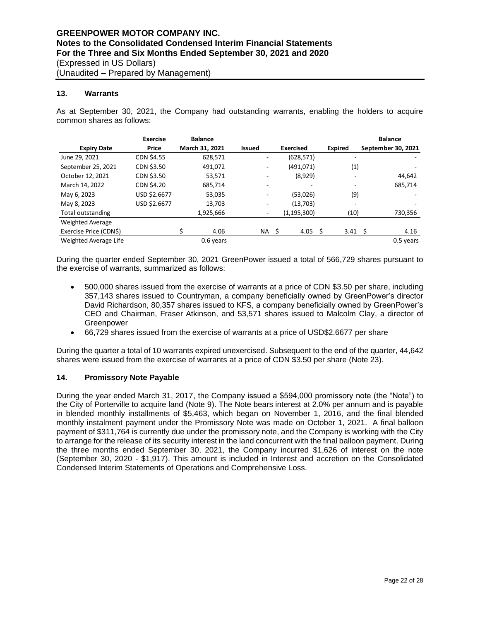## **13. Warrants**

As at September 30, 2021, the Company had outstanding warrants, enabling the holders to acquire common shares as follows:

|                         | <b>Exercise</b>   | <b>Balance</b> |                          |                  |                          |   | <b>Balance</b>     |
|-------------------------|-------------------|----------------|--------------------------|------------------|--------------------------|---|--------------------|
| <b>Expiry Date</b>      | Price             | March 31, 2021 | <b>Issued</b>            | <b>Exercised</b> | <b>Expired</b>           |   | September 30, 2021 |
| June 29, 2021           | <b>CDN \$4.55</b> | 628,571        | $\overline{\phantom{a}}$ | (628,571)        | ۰                        |   |                    |
| September 25, 2021      | CDN \$3.50        | 491,072        | $\overline{\phantom{a}}$ | (491,071)        | (1)                      |   |                    |
| October 12, 2021        | CDN \$3.50        | 53,571         |                          | (8,929)          | ۰                        |   | 44,642             |
| March 14, 2022          | CDN \$4.20        | 685,714        |                          |                  | ۰                        |   | 685,714            |
| May 6, 2023             | USD \$2.6677      | 53,035         |                          | (53,026)         | (9)                      |   |                    |
| May 8, 2023             | USD \$2.6677      | 13,703         |                          | (13,703)         | $\overline{\phantom{a}}$ |   |                    |
| Total outstanding       |                   | 1,925,666      |                          | (1, 195, 300)    | (10)                     |   | 730,356            |
| <b>Weighted Average</b> |                   |                |                          |                  |                          |   |                    |
| Exercise Price (CDN\$)  |                   | 4.06           | NA \$                    | 4.05             | \$<br>3.41               | S | 4.16               |
| Weighted Average Life   |                   | 0.6 years      |                          |                  |                          |   | 0.5 years          |

During the quarter ended September 30, 2021 GreenPower issued a total of 566,729 shares pursuant to the exercise of warrants, summarized as follows:

- 500,000 shares issued from the exercise of warrants at a price of CDN \$3.50 per share, including 357,143 shares issued to Countryman, a company beneficially owned by GreenPower's director David Richardson, 80,357 shares issued to KFS, a company beneficially owned by GreenPower's CEO and Chairman, Fraser Atkinson, and 53,571 shares issued to Malcolm Clay, a director of **Greenpower**
- 66,729 shares issued from the exercise of warrants at a price of USD\$2.6677 per share

During the quarter a total of 10 warrants expired unexercised. Subsequent to the end of the quarter, 44,642 shares were issued from the exercise of warrants at a price of CDN \$3.50 per share (Note 23).

## **14. Promissory Note Payable**

During the year ended March 31, 2017, the Company issued a \$594,000 promissory note (the "Note") to the City of Porterville to acquire land (Note 9). The Note bears interest at 2.0% per annum and is payable in blended monthly installments of \$5,463, which began on November 1, 2016, and the final blended monthly instalment payment under the Promissory Note was made on October 1, 2021. A final balloon payment of \$311,764 is currently due under the promissory note, and the Company is working with the City to arrange for the release of its security interest in the land concurrent with the final balloon payment. During the three months ended September 30, 2021, the Company incurred \$1,626 of interest on the note (September 30, 2020 - \$1,917). This amount is included in Interest and accretion on the Consolidated Condensed Interim Statements of Operations and Comprehensive Loss.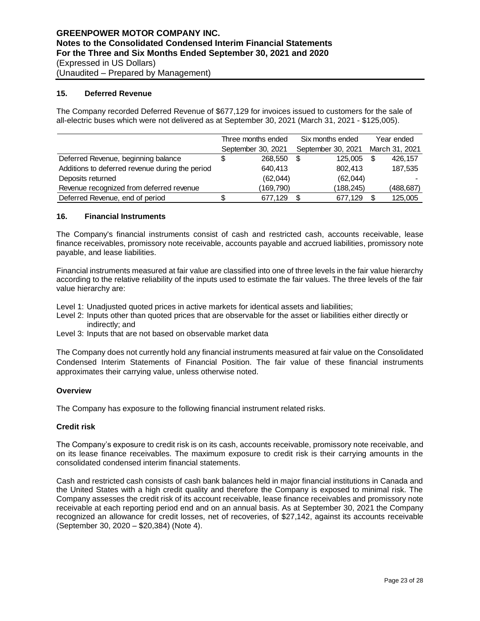## **15. Deferred Revenue**

The Company recorded Deferred Revenue of \$677,129 for invoices issued to customers for the sale of all-electric buses which were not delivered as at September 30, 2021 (March 31, 2021 - \$125,005).

|                                                 | Three months ended |           | Six months ended   |           | Year ended     |
|-------------------------------------------------|--------------------|-----------|--------------------|-----------|----------------|
|                                                 | September 30, 2021 |           | September 30, 2021 |           | March 31, 2021 |
| Deferred Revenue, beginning balance             |                    | 268,550   |                    | 125,005   | 426,157        |
| Additions to deferred revenue during the period |                    | 640.413   |                    | 802.413   | 187,535        |
| Deposits returned                               |                    | (62,044)  |                    | (62,044)  |                |
| Revenue recognized from deferred revenue        |                    | (169,790) |                    | (188,245) | (488,687)      |
| Deferred Revenue, end of period                 |                    | 677.129   |                    | 677.129   | 125,005        |

### **16. Financial Instruments**

The Company's financial instruments consist of cash and restricted cash, accounts receivable, lease finance receivables, promissory note receivable, accounts payable and accrued liabilities, promissory note payable, and lease liabilities.

Financial instruments measured at fair value are classified into one of three levels in the fair value hierarchy according to the relative reliability of the inputs used to estimate the fair values. The three levels of the fair value hierarchy are:

Level 1: Unadjusted quoted prices in active markets for identical assets and liabilities;

- Level 2: Inputs other than quoted prices that are observable for the asset or liabilities either directly or indirectly; and
- Level 3: Inputs that are not based on observable market data

The Company does not currently hold any financial instruments measured at fair value on the Consolidated Condensed Interim Statements of Financial Position. The fair value of these financial instruments approximates their carrying value, unless otherwise noted.

## **Overview**

The Company has exposure to the following financial instrument related risks.

## **Credit risk**

The Company's exposure to credit risk is on its cash, accounts receivable, promissory note receivable, and on its lease finance receivables. The maximum exposure to credit risk is their carrying amounts in the consolidated condensed interim financial statements.

Cash and restricted cash consists of cash bank balances held in major financial institutions in Canada and the United States with a high credit quality and therefore the Company is exposed to minimal risk. The Company assesses the credit risk of its account receivable, lease finance receivables and promissory note receivable at each reporting period end and on an annual basis. As at September 30, 2021 the Company recognized an allowance for credit losses, net of recoveries, of \$27,142, against its accounts receivable (September 30, 2020 – \$20,384) (Note 4).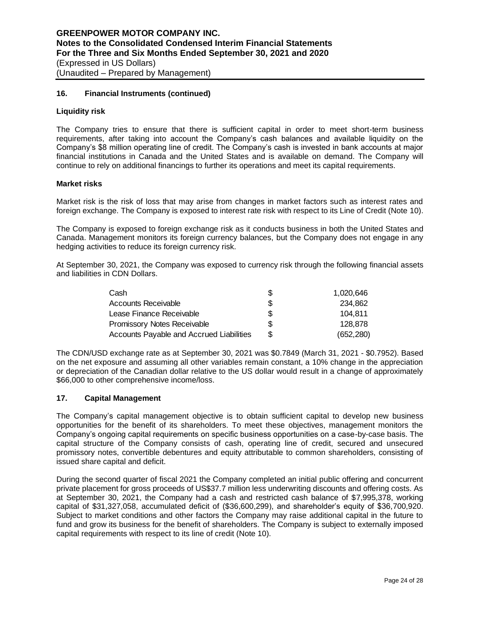## **16. Financial Instruments (continued)**

#### **Liquidity risk**

The Company tries to ensure that there is sufficient capital in order to meet short-term business requirements, after taking into account the Company's cash balances and available liquidity on the Company's \$8 million operating line of credit. The Company's cash is invested in bank accounts at major financial institutions in Canada and the United States and is available on demand. The Company will continue to rely on additional financings to further its operations and meet its capital requirements.

#### **Market risks**

Market risk is the risk of loss that may arise from changes in market factors such as interest rates and foreign exchange. The Company is exposed to interest rate risk with respect to its Line of Credit (Note 10).

The Company is exposed to foreign exchange risk as it conducts business in both the United States and Canada. Management monitors its foreign currency balances, but the Company does not engage in any hedging activities to reduce its foreign currency risk.

At September 30, 2021, the Company was exposed to currency risk through the following financial assets and liabilities in CDN Dollars.

| Cash                                     | S  | 1.020.646  |
|------------------------------------------|----|------------|
| Accounts Receivable                      | S  | 234.862    |
| Lease Finance Receivable                 | S  | 104.811    |
| <b>Promissory Notes Receivable</b>       | S  | 128.878    |
| Accounts Payable and Accrued Liabilities | ß. | (652, 280) |

The CDN/USD exchange rate as at September 30, 2021 was \$0.7849 (March 31, 2021 - \$0.7952). Based on the net exposure and assuming all other variables remain constant, a 10% change in the appreciation or depreciation of the Canadian dollar relative to the US dollar would result in a change of approximately \$66,000 to other comprehensive income/loss.

#### **17. Capital Management**

The Company's capital management objective is to obtain sufficient capital to develop new business opportunities for the benefit of its shareholders. To meet these objectives, management monitors the Company's ongoing capital requirements on specific business opportunities on a case-by-case basis. The capital structure of the Company consists of cash, operating line of credit, secured and unsecured promissory notes, convertible debentures and equity attributable to common shareholders, consisting of issued share capital and deficit.

During the second quarter of fiscal 2021 the Company completed an initial public offering and concurrent private placement for gross proceeds of US\$37.7 million less underwriting discounts and offering costs. As at September 30, 2021, the Company had a cash and restricted cash balance of \$7,995,378, working capital of \$31,327,058, accumulated deficit of (\$36,600,299), and shareholder's equity of \$36,700,920. Subject to market conditions and other factors the Company may raise additional capital in the future to fund and grow its business for the benefit of shareholders. The Company is subject to externally imposed capital requirements with respect to its line of credit (Note 10).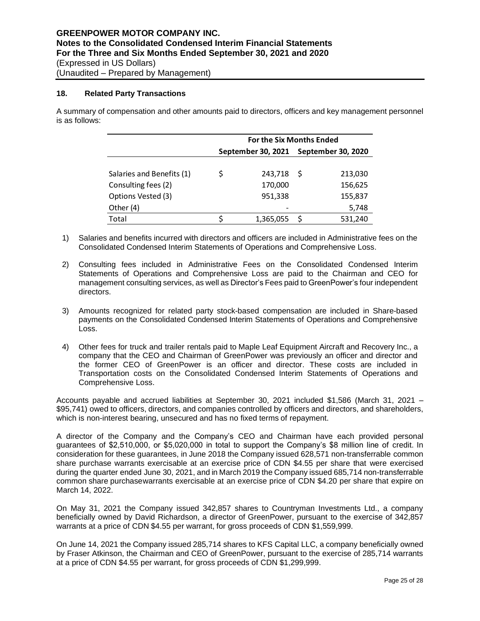## **18. Related Party Transactions**

A summary of compensation and other amounts paid to directors, officers and key management personnel is as follows:

|                           | <b>For the Six Months Ended</b> |                    |                    |         |  |  |  |  |  |  |  |
|---------------------------|---------------------------------|--------------------|--------------------|---------|--|--|--|--|--|--|--|
|                           |                                 | September 30, 2021 | September 30, 2020 |         |  |  |  |  |  |  |  |
|                           |                                 |                    |                    |         |  |  |  |  |  |  |  |
| Salaries and Benefits (1) | S                               | 243,718            | - S                | 213,030 |  |  |  |  |  |  |  |
| Consulting fees (2)       |                                 | 170,000            |                    | 156,625 |  |  |  |  |  |  |  |
| Options Vested (3)        |                                 | 951,338            |                    | 155,837 |  |  |  |  |  |  |  |
| Other (4)                 |                                 |                    |                    | 5,748   |  |  |  |  |  |  |  |
| Total                     |                                 | 1,365,055          |                    | 531,240 |  |  |  |  |  |  |  |

- 1) Salaries and benefits incurred with directors and officers are included in Administrative fees on the Consolidated Condensed Interim Statements of Operations and Comprehensive Loss.
- 2) Consulting fees included in Administrative Fees on the Consolidated Condensed Interim Statements of Operations and Comprehensive Loss are paid to the Chairman and CEO for management consulting services, as well as Director's Fees paid to GreenPower's four independent directors.
- 3) Amounts recognized for related party stock-based compensation are included in Share-based payments on the Consolidated Condensed Interim Statements of Operations and Comprehensive Loss.
- 4) Other fees for truck and trailer rentals paid to Maple Leaf Equipment Aircraft and Recovery Inc., a company that the CEO and Chairman of GreenPower was previously an officer and director and the former CEO of GreenPower is an officer and director. These costs are included in Transportation costs on the Consolidated Condensed Interim Statements of Operations and Comprehensive Loss.

Accounts payable and accrued liabilities at September 30, 2021 included \$1,586 (March 31, 2021 – \$95,741) owed to officers, directors, and companies controlled by officers and directors, and shareholders, which is non-interest bearing, unsecured and has no fixed terms of repayment.

A director of the Company and the Company's CEO and Chairman have each provided personal guarantees of \$2,510,000, or \$5,020,000 in total to support the Company's \$8 million line of credit. In consideration for these guarantees, in June 2018 the Company issued 628,571 non-transferrable common share purchase warrants exercisable at an exercise price of CDN \$4.55 per share that were exercised during the quarter ended June 30, 2021, and in March 2019 the Company issued 685,714 non-transferrable common share purchase warrants exercisable at an exercise price of CDN \$4.20 per share that expire on March 14, 2022.

On May 31, 2021 the Company issued 342,857 shares to Countryman Investments Ltd., a company beneficially owned by David Richardson, a director of GreenPower, pursuant to the exercise of 342,857 warrants at a price of CDN \$4.55 per warrant, for gross proceeds of CDN \$1,559,999.

On June 14, 2021 the Company issued 285,714 shares to KFS Capital LLC, a company beneficially owned by Fraser Atkinson, the Chairman and CEO of GreenPower, pursuant to the exercise of 285,714 warrants at a price of CDN \$4.55 per warrant, for gross proceeds of CDN \$1,299,999.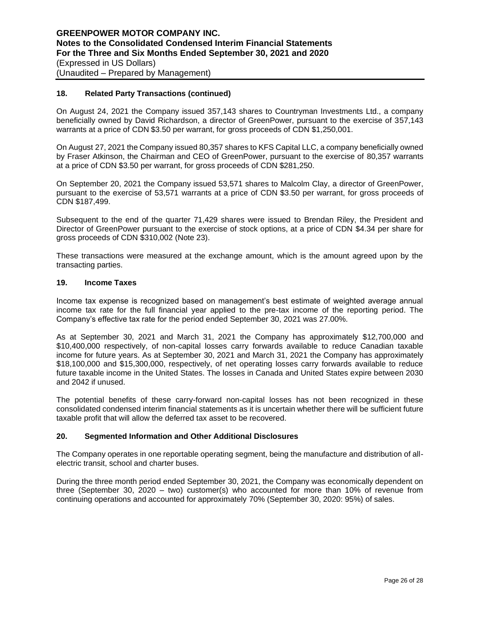## **18. Related Party Transactions (continued)**

On August 24, 2021 the Company issued 357,143 shares to Countryman Investments Ltd., a company beneficially owned by David Richardson, a director of GreenPower, pursuant to the exercise of 357,143 warrants at a price of CDN \$3.50 per warrant, for gross proceeds of CDN \$1,250,001.

On August 27, 2021 the Company issued 80,357 shares to KFS Capital LLC, acompany beneficially owned by Fraser Atkinson, the Chairman and CEO of GreenPower, pursuant to the exercise of 80,357 warrants at a price of CDN \$3.50 per warrant, for gross proceeds of CDN \$281,250.

On September 20, 2021 the Company issued 53,571 shares to Malcolm Clay, a director of GreenPower, pursuant to the exercise of 53,571 warrants at a price of CDN \$3.50 per warrant, for gross proceeds of CDN \$187,499.

Subsequent to the end of the quarter 71,429 shares were issued to Brendan Riley, the President and Director of GreenPower pursuant to the exercise of stock options, at a price of CDN \$4.34 per share for gross proceeds of CDN \$310,002 (Note 23).

These transactions were measured at the exchange amount, which is the amount agreed upon by the transacting parties.

### **19. Income Taxes**

Income tax expense is recognized based on management's best estimate of weighted average annual income tax rate for the full financial year applied to the pre-tax income of the reporting period. The Company's effective tax rate for the period ended September 30, 2021 was 27.00%.

As at September 30, 2021 and March 31, 2021 the Company has approximately \$12,700,000 and \$10,400,000 respectively, of non-capital losses carry forwards available to reduce Canadian taxable income for future years. As at September 30, 2021 and March 31, 2021 the Company has approximately \$18,100,000 and \$15,300,000, respectively, of net operating losses carry forwards available to reduce future taxable income in the United States. The losses in Canada and United States expire between 2030 and 2042 if unused.

The potential benefits of these carry-forward non-capital losses has not been recognized in these consolidated condensed interim financial statements as it is uncertain whether there will be sufficient future taxable profit that will allow the deferred tax asset to be recovered.

## **20. Segmented Information and Other Additional Disclosures**

The Company operates in one reportable operating segment, being the manufacture and distribution of allelectric transit, school and charter buses.

During the three month period ended September 30, 2021, the Company was economically dependent on three (September 30, 2020 – two) customer(s) who accounted for more than 10% of revenue from continuing operations and accounted for approximately 70% (September 30, 2020: 95%) of sales.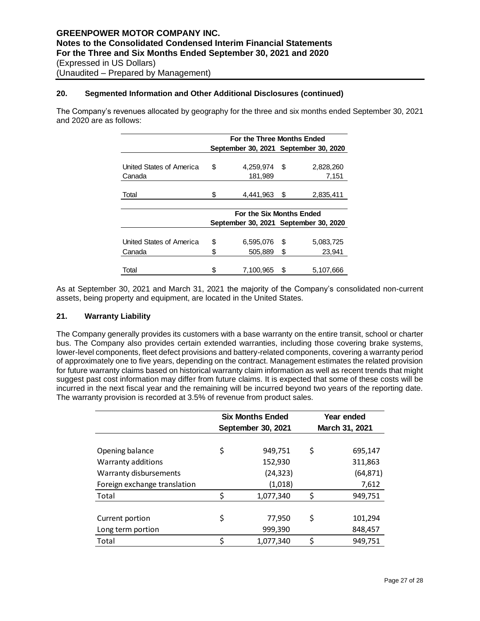## **20. Segmented Information and Other Additional Disclosures (continued)**

The Company's revenues allocated by geography for the three and six months ended September 30, 2021 and 2020 are as follows:

|                                    | For the Three Months Ended |                          |         |                                       |  |  |  |  |  |
|------------------------------------|----------------------------|--------------------------|---------|---------------------------------------|--|--|--|--|--|
|                                    |                            |                          |         | September 30, 2021 September 30, 2020 |  |  |  |  |  |
| United States of America<br>Canada | \$                         | 4,259,974<br>181,989     | S       | 2,828,260<br>7,151                    |  |  |  |  |  |
| Total                              | \$                         | 4.441.963                | \$      | 2,835,411                             |  |  |  |  |  |
|                                    |                            | For the Six Months Ended |         |                                       |  |  |  |  |  |
|                                    |                            |                          |         | September 30, 2021 September 30, 2020 |  |  |  |  |  |
| United States of America<br>Canada | \$<br>\$                   | 6.595.076<br>505,889     | S<br>\$ | 5,083,725<br>23,941                   |  |  |  |  |  |
| Total                              |                            | 7,100,965                | S       | 5,107,666                             |  |  |  |  |  |

As at September 30, 2021 and March 31, 2021 the majority of the Company's consolidated non-current assets, being property and equipment, are located in the United States.

## **21. Warranty Liability**

The Company generally provides its customers with a base warranty on the entire transit, school or charter bus. The Company also provides certain extended warranties, including those covering brake systems, lower-level components, fleet defect provisions and battery-related components, covering a warranty period of approximately one to five years, depending on the contract. Management estimates the related provision for future warranty claims based on historical warranty claim information as well as recent trends that might suggest past cost information may differ from future claims. It is expected that some of these costs will be incurred in the next fiscal year and the remaining will be incurred beyond two years of the reporting date. The warranty provision is recorded at 3.5% of revenue from product sales.

|                              | <b>Six Months Ended</b> | Year ended     |
|------------------------------|-------------------------|----------------|
|                              | September 30, 2021      | March 31, 2021 |
|                              |                         |                |
| Opening balance              | \$<br>949,751           | \$<br>695,147  |
| Warranty additions           | 152,930                 | 311,863        |
| Warranty disbursements       | (24, 323)               | (64, 871)      |
| Foreign exchange translation | (1,018)                 | 7,612          |
| Total                        | \$<br>1,077,340         | \$<br>949,751  |
|                              |                         |                |
| Current portion              | \$<br>77,950            | \$<br>101,294  |
| Long term portion            | 999,390                 | 848,457        |
| Total                        | \$<br>1,077,340         | \$<br>949,751  |